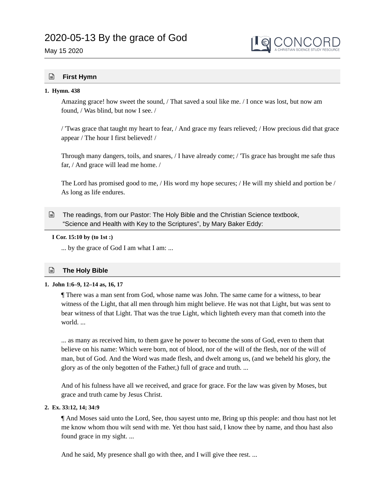# 2020-05-13 By the grace of God

# May 15 2020



## **First Hymn**

#### **1. Hymn. 438**

Amazing grace! how sweet the sound, / That saved a soul like me. / I once was lost, but now am found, / Was blind, but now I see. /

/ 'Twas grace that taught my heart to fear, / And grace my fears relieved; / How precious did that grace appear / The hour I first believed! /

Through many dangers, toils, and snares, / I have already come; / 'Tis grace has brought me safe thus far, / And grace will lead me home. /

The Lord has promised good to me, / His word my hope secures; / He will my shield and portion be / As long as life endures.

The readings, from our Pastor: The Holy Bible and the Christian Science textbook, "Science and Health with Key to the Scriptures", by Mary Baker Eddy: ⊫

#### **I Cor. 15:10 by (to 1st :)**

... by the grace of God I am what I am: ...

### **The Holy Bible**

### **1. John 1:6–9, 12–14 as, 16, 17**

¶ There was a man sent from God, whose name was John. The same came for a witness, to bear witness of the Light, that all men through him might believe. He was not that Light, but was sent to bear witness of that Light. That was the true Light, which lighteth every man that cometh into the world. ...

... as many as received him, to them gave he power to become the sons of God, even to them that believe on his name: Which were born, not of blood, nor of the will of the flesh, nor of the will of man, but of God. And the Word was made flesh, and dwelt among us, (and we beheld his glory, the glory as of the only begotten of the Father,) full of grace and truth. ...

And of his fulness have all we received, and grace for grace. For the law was given by Moses, but grace and truth came by Jesus Christ.

# **2. Ex. 33:12, 14; 34:9**

¶ And Moses said unto the Lord, See, thou sayest unto me, Bring up this people: and thou hast not let me know whom thou wilt send with me. Yet thou hast said, I know thee by name, and thou hast also found grace in my sight. ...

And he said, My presence shall go with thee, and I will give thee rest. ...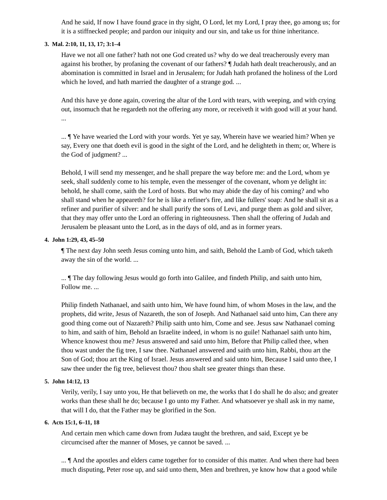And he said, If now I have found grace in thy sight, O Lord, let my Lord, I pray thee, go among us; for it is a stiffnecked people; and pardon our iniquity and our sin, and take us for thine inheritance.

### **3. Mal. 2:10, 11, 13, 17; 3:1–4**

Have we not all one father? hath not one God created us? why do we deal treacherously every man against his brother, by profaning the covenant of our fathers? ¶ Judah hath dealt treacherously, and an abomination is committed in Israel and in Jerusalem; for Judah hath profaned the holiness of the Lord which he loved, and hath married the daughter of a strange god. ...

And this have ye done again, covering the altar of the Lord with tears, with weeping, and with crying out, insomuch that he regardeth not the offering any more, or receiveth it with good will at your hand. ...

... ¶ Ye have wearied the Lord with your words. Yet ye say, Wherein have we wearied him? When ye say, Every one that doeth evil is good in the sight of the Lord, and he delighteth in them; or, Where is the God of judgment? ...

Behold, I will send my messenger, and he shall prepare the way before me: and the Lord, whom ye seek, shall suddenly come to his temple, even the messenger of the covenant, whom ye delight in: behold, he shall come, saith the Lord of hosts. But who may abide the day of his coming? and who shall stand when he appeareth? for he is like a refiner's fire, and like fullers' soap: And he shall sit as a refiner and purifier of silver: and he shall purify the sons of Levi, and purge them as gold and silver, that they may offer unto the Lord an offering in righteousness. Then shall the offering of Judah and Jerusalem be pleasant unto the Lord, as in the days of old, and as in former years.

## **4. John 1:29, 43, 45–50**

¶ The next day John seeth Jesus coming unto him, and saith, Behold the Lamb of God, which taketh away the sin of the world. ...

... ¶ The day following Jesus would go forth into Galilee, and findeth Philip, and saith unto him, Follow me. ...

Philip findeth Nathanael, and saith unto him, We have found him, of whom Moses in the law, and the prophets, did write, Jesus of Nazareth, the son of Joseph. And Nathanael said unto him, Can there any good thing come out of Nazareth? Philip saith unto him, Come and see. Jesus saw Nathanael coming to him, and saith of him, Behold an Israelite indeed, in whom is no guile! Nathanael saith unto him, Whence knowest thou me? Jesus answered and said unto him, Before that Philip called thee, when thou wast under the fig tree, I saw thee. Nathanael answered and saith unto him, Rabbi, thou art the Son of God; thou art the King of Israel. Jesus answered and said unto him, Because I said unto thee, I saw thee under the fig tree, believest thou? thou shalt see greater things than these.

# **5. John 14:12, 13**

Verily, verily, I say unto you, He that believeth on me, the works that I do shall he do also; and greater works than these shall he do; because I go unto my Father. And whatsoever ye shall ask in my name, that will I do, that the Father may be glorified in the Son.

### **6. Acts 15:1, 6–11, 18**

And certain men which came down from Judæa taught the brethren, and said, Except ye be circumcised after the manner of Moses, ye cannot be saved. ...

... ¶ And the apostles and elders came together for to consider of this matter. And when there had been much disputing, Peter rose up, and said unto them, Men and brethren, ye know how that a good while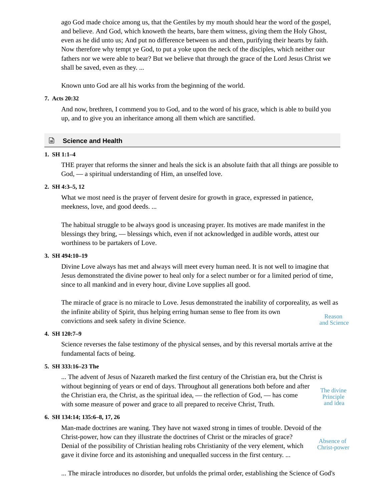ago God made choice among us, that the Gentiles by my mouth should hear the word of the gospel, and believe. And God, which knoweth the hearts, bare them witness, giving them the Holy Ghost, even as he did unto us; And put no difference between us and them, purifying their hearts by faith. Now therefore why tempt ye God, to put a yoke upon the neck of the disciples, which neither our fathers nor we were able to bear? But we believe that through the grace of the Lord Jesus Christ we shall be saved, even as they. ...

Known unto God are all his works from the beginning of the world.

## **7. Acts 20:32**

And now, brethren, I commend you to God, and to the word of his grace, which is able to build you up, and to give you an inheritance among all them which are sanctified.

# **Science and Health**

# **1. SH 1:1–4**

THE prayer that reforms the sinner and heals the sick is an absolute faith that all things are possible to God, — a spiritual understanding of Him, an unselfed love.

## **2. SH 4:3–5, 12**

What we most need is the prayer of fervent desire for growth in grace, expressed in patience, meekness, love, and good deeds. ...

The habitual struggle to be always good is unceasing prayer. Its motives are made manifest in the blessings they bring, — blessings which, even if not acknowledged in audible words, attest our worthiness to be partakers of Love.

### **3. SH 494:10–19**

Divine Love always has met and always will meet every human need. It is not well to imagine that Jesus demonstrated the divine power to heal only for a select number or for a limited period of time, since to all mankind and in every hour, divine Love supplies all good.

The miracle of grace is no miracle to Love. Jesus demonstrated the inability of corporeality, as well as the infinite ability of Spirit, thus helping erring human sense to flee from its own convictions and seek safety in divine Science. Reason and Science

### **4. SH 120:7–9**

Science reverses the false testimony of the physical senses, and by this reversal mortals arrive at the fundamental facts of being.

## **5. SH 333:16–23 The**

... The advent of Jesus of Nazareth marked the first century of the Christian era, but the Christ is without beginning of years or end of days. Throughout all generations both before and after the Christian era, the Christ, as the spiritual idea, — the reflection of God, — has come with some measure of power and grace to all prepared to receive Christ, Truth. The divine Principle and idea

### **6. SH 134:14; 135:6–8, 17, 26**

Man-made doctrines are waning. They have not waxed strong in times of trouble. Devoid of the Christ-power, how can they illustrate the doctrines of Christ or the miracles of grace? Denial of the possibility of Christian healing robs Christianity of the very element, which gave it divine force and its astonishing and unequalled success in the first century. ...

Absence of Christ-power

... The miracle introduces no disorder, but unfolds the primal order, establishing the Science of God's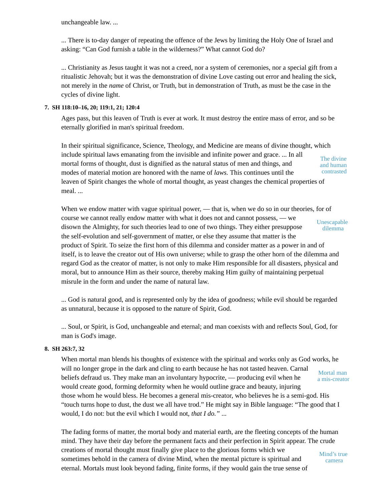unchangeable law. ...

... There is to-day danger of repeating the offence of the Jews by limiting the Holy One of Israel and asking: "Can God furnish a table in the wilderness?" What cannot God do?

... Christianity as Jesus taught it was not a creed, nor a system of ceremonies, nor a special gift from a ritualistic Jehovah; but it was the demonstration of divine Love casting out error and healing the sick, not merely in the *name* of Christ, or Truth, but in demonstration of Truth, as must be the case in the cycles of divine light.

# **7. SH 118:10–16, 20; 119:1, 21; 120:4**

Ages pass, but this leaven of Truth is ever at work. It must destroy the entire mass of error, and so be eternally glorified in man's spiritual freedom.

In their spiritual significance, Science, Theology, and Medicine are means of divine thought, which include spiritual laws emanating from the invisible and infinite power and grace. ... In all mortal forms of thought, dust is dignified as the natural status of men and things, and modes of material motion are honored with the name of *laws.* This continues until the leaven of Spirit changes the whole of mortal thought, as yeast changes the chemical properties of meal. ... The divine and human contrasted

When we endow matter with vague spiritual power, — that is, when we do so in our theories, for of course we cannot really endow matter with what it does not and cannot possess, — we disown the Almighty, for such theories lead to one of two things. They either presuppose the self-evolution and self-government of matter, or else they assume that matter is the product of Spirit. To seize the first horn of this dilemma and consider matter as a power in and of itself, is to leave the creator out of His own universe; while to grasp the other horn of the dilemma and regard God as the creator of matter, is not only to make Him responsible for all disasters, physical and moral, but to announce Him as their source, thereby making Him guilty of maintaining perpetual misrule in the form and under the name of natural law. Unescapable dilemma

... God is natural good, and is represented only by the idea of goodness; while evil should be regarded as unnatural, because it is opposed to the nature of Spirit, God.

... Soul, or Spirit, is God, unchangeable and eternal; and man coexists with and reflects Soul, God, for man is God's image.

### **8. SH 263:7, 32**

When mortal man blends his thoughts of existence with the spiritual and works only as God works, he will no longer grope in the dark and cling to earth because he has not tasted heaven. Carnal beliefs defraud us. They make man an involuntary hypocrite, — producing evil when he would create good, forming deformity when he would outline grace and beauty, injuring those whom he would bless. He becomes a general mis-creator, who believes he is a semi-god. His "touch turns hope to dust, the dust we all have trod." He might say in Bible language: "The good that I would, I do not: but the evil which I would not, *that I do."* ... Mortal man a mis-creator

The fading forms of matter, the mortal body and material earth, are the fleeting concepts of the human mind. They have their day before the permanent facts and their perfection in Spirit appear. The crude creations of mortal thought must finally give place to the glorious forms which we sometimes behold in the camera of divine Mind, when the mental picture is spiritual and eternal. Mortals must look beyond fading, finite forms, if they would gain the true sense of Mind's true camera